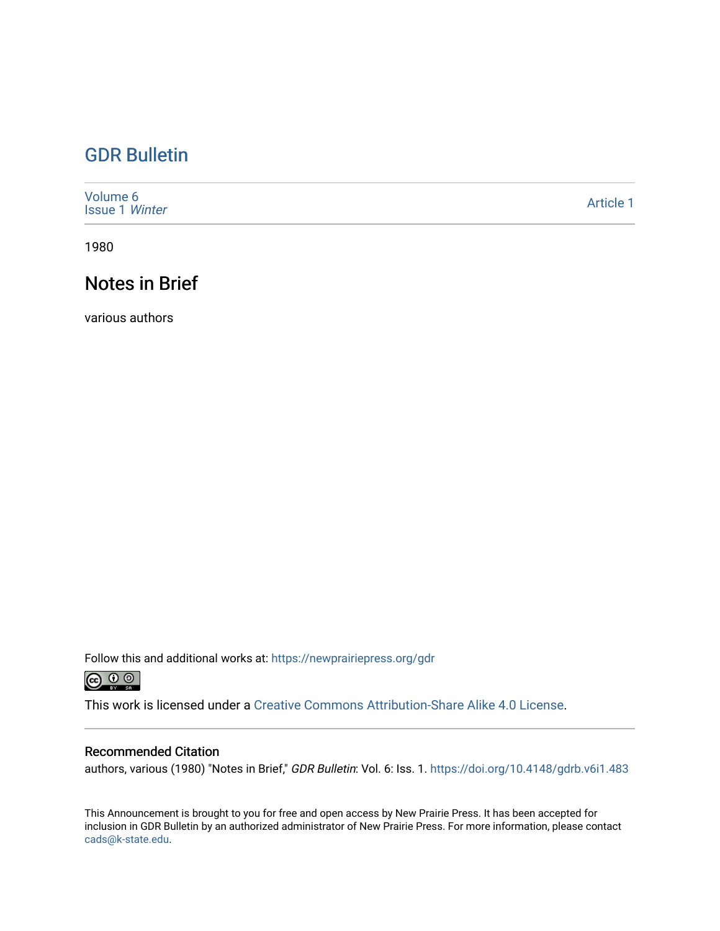## [GDR Bulletin](https://newprairiepress.org/gdr)

| Volume 6<br><b>Issue 1 Winter</b> | Article 1 |
|-----------------------------------|-----------|
|-----------------------------------|-----------|

1980

## Notes in Brief

various authors

Follow this and additional works at: [https://newprairiepress.org/gdr](https://newprairiepress.org/gdr?utm_source=newprairiepress.org%2Fgdr%2Fvol6%2Fiss1%2F1&utm_medium=PDF&utm_campaign=PDFCoverPages) 



This work is licensed under a [Creative Commons Attribution-Share Alike 4.0 License.](https://creativecommons.org/licenses/by-sa/4.0/)

#### Recommended Citation

authors, various (1980) "Notes in Brief," GDR Bulletin: Vol. 6: Iss. 1. https://doi.org/10.4148/gdrb.v6i1.483

This Announcement is brought to you for free and open access by New Prairie Press. It has been accepted for inclusion in GDR Bulletin by an authorized administrator of New Prairie Press. For more information, please contact [cads@k-state.edu.](mailto:cads@k-state.edu)